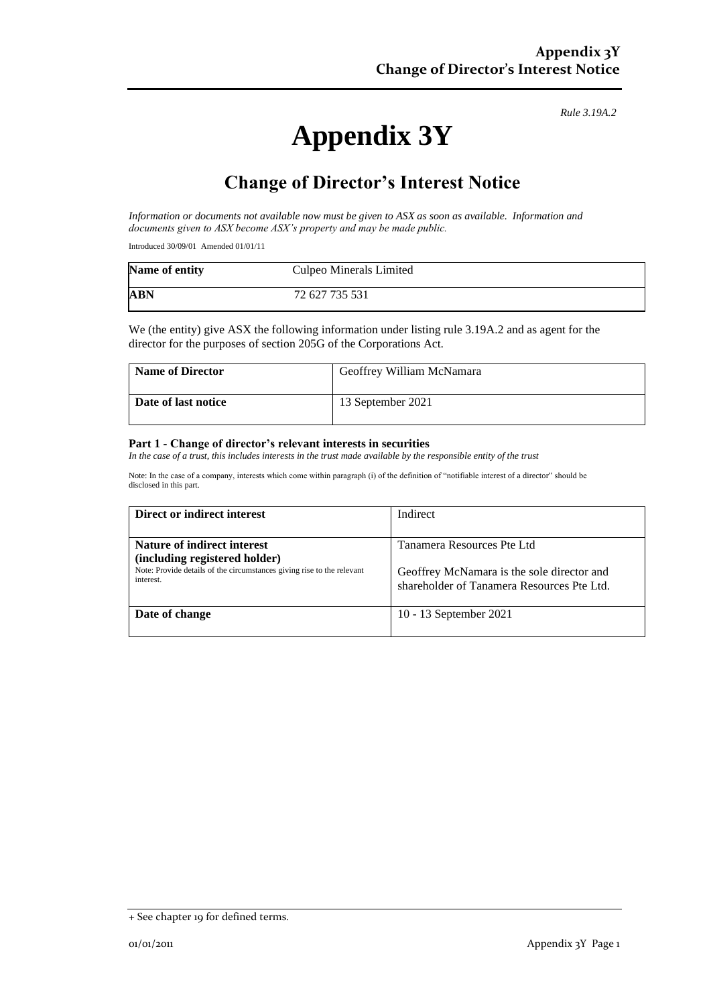*Rule 3.19A.2*

# **Appendix 3Y**

## **Change of Director's Interest Notice**

*Information or documents not available now must be given to ASX as soon as available. Information and documents given to ASX become ASX's property and may be made public.*

Introduced 30/09/01 Amended 01/01/11

| Name of entity | Culpeo Minerals Limited |
|----------------|-------------------------|
| <b>ABN</b>     | 72 627 735 531          |

We (the entity) give ASX the following information under listing rule 3.19A.2 and as agent for the director for the purposes of section 205G of the Corporations Act.

| <b>Name of Director</b> | Geoffrey William McNamara |
|-------------------------|---------------------------|
| Date of last notice     | 13 September 2021         |

#### **Part 1 - Change of director's relevant interests in securities**

In the case of a trust, this includes interests in the trust made available by the responsible entity of the trust

Note: In the case of a company, interests which come within paragraph (i) of the definition of "notifiable interest of a director" should be disclosed in this part.

| Direct or indirect interest                                                                                          | Indirect                                                                                 |
|----------------------------------------------------------------------------------------------------------------------|------------------------------------------------------------------------------------------|
|                                                                                                                      |                                                                                          |
| Nature of indirect interest                                                                                          | Tanamera Resources Pte Ltd                                                               |
| (including registered holder)<br>Note: Provide details of the circumstances giving rise to the relevant<br>interest. | Geoffrey McNamara is the sole director and<br>shareholder of Tanamera Resources Pte Ltd. |
| Date of change                                                                                                       | 10 - 13 September 2021                                                                   |

<sup>+</sup> See chapter 19 for defined terms.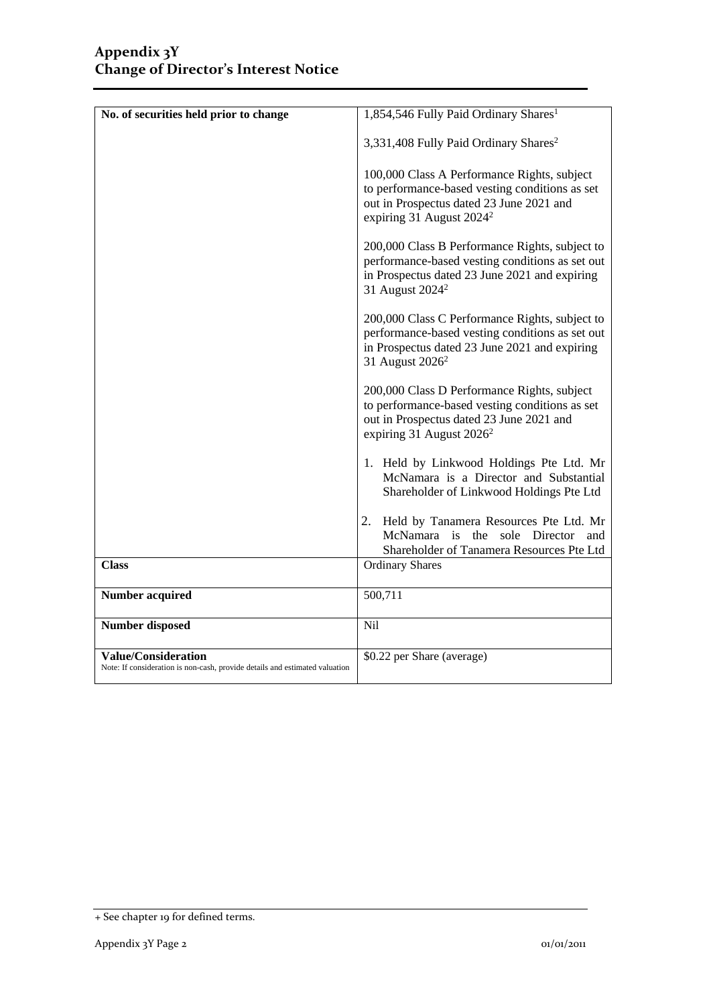| No. of securities held prior to change                                                                    | 1,854,546 Fully Paid Ordinary Shares <sup>1</sup>                                                                                                                                 |
|-----------------------------------------------------------------------------------------------------------|-----------------------------------------------------------------------------------------------------------------------------------------------------------------------------------|
|                                                                                                           |                                                                                                                                                                                   |
|                                                                                                           | 3,331,408 Fully Paid Ordinary Shares <sup>2</sup>                                                                                                                                 |
|                                                                                                           | 100,000 Class A Performance Rights, subject<br>to performance-based vesting conditions as set<br>out in Prospectus dated 23 June 2021 and<br>expiring 31 August $2024^2$          |
|                                                                                                           | 200,000 Class B Performance Rights, subject to<br>performance-based vesting conditions as set out<br>in Prospectus dated 23 June 2021 and expiring<br>31 August 2024 <sup>2</sup> |
|                                                                                                           | 200,000 Class C Performance Rights, subject to<br>performance-based vesting conditions as set out<br>in Prospectus dated 23 June 2021 and expiring<br>31 August 2026 <sup>2</sup> |
|                                                                                                           | 200,000 Class D Performance Rights, subject<br>to performance-based vesting conditions as set<br>out in Prospectus dated 23 June 2021 and<br>expiring 31 August 2026 <sup>2</sup> |
|                                                                                                           | 1. Held by Linkwood Holdings Pte Ltd. Mr<br>McNamara is a Director and Substantial<br>Shareholder of Linkwood Holdings Pte Ltd                                                    |
|                                                                                                           | 2.<br>Held by Tanamera Resources Pte Ltd. Mr<br>McNamara is<br>the<br>sole Director<br>and<br>Shareholder of Tanamera Resources Pte Ltd                                           |
| <b>Class</b>                                                                                              | <b>Ordinary Shares</b>                                                                                                                                                            |
| <b>Number acquired</b>                                                                                    | 500,711                                                                                                                                                                           |
| <b>Number disposed</b>                                                                                    | Nil                                                                                                                                                                               |
| <b>Value/Consideration</b><br>Note: If consideration is non-cash, provide details and estimated valuation | \$0.22 per Share (average)                                                                                                                                                        |

<sup>+</sup> See chapter 19 for defined terms.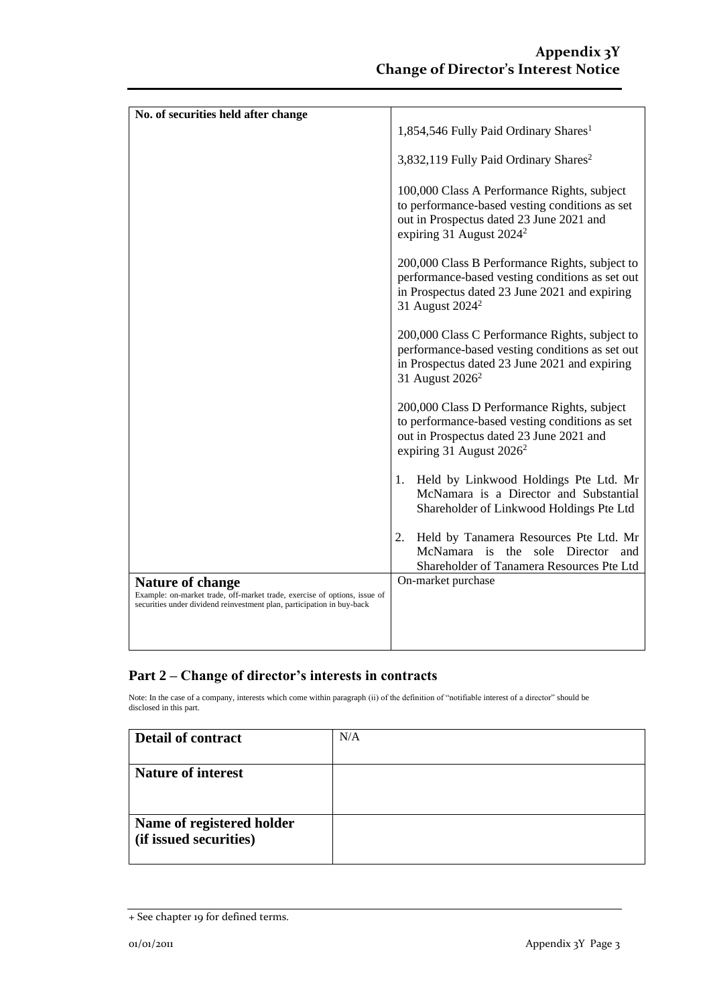| No. of securities held after change                                                                                                                                     |                                                                                                                                                                                   |
|-------------------------------------------------------------------------------------------------------------------------------------------------------------------------|-----------------------------------------------------------------------------------------------------------------------------------------------------------------------------------|
|                                                                                                                                                                         | 1,854,546 Fully Paid Ordinary Shares <sup>1</sup>                                                                                                                                 |
|                                                                                                                                                                         | 3,832,119 Fully Paid Ordinary Shares <sup>2</sup>                                                                                                                                 |
|                                                                                                                                                                         | 100,000 Class A Performance Rights, subject<br>to performance-based vesting conditions as set<br>out in Prospectus dated 23 June 2021 and<br>expiring 31 August 2024 <sup>2</sup> |
|                                                                                                                                                                         | 200,000 Class B Performance Rights, subject to<br>performance-based vesting conditions as set out<br>in Prospectus dated 23 June 2021 and expiring<br>31 August 2024 <sup>2</sup> |
|                                                                                                                                                                         | 200,000 Class C Performance Rights, subject to<br>performance-based vesting conditions as set out<br>in Prospectus dated 23 June 2021 and expiring<br>31 August 2026 <sup>2</sup> |
|                                                                                                                                                                         | 200,000 Class D Performance Rights, subject<br>to performance-based vesting conditions as set<br>out in Prospectus dated 23 June 2021 and<br>expiring 31 August $2026^2$          |
|                                                                                                                                                                         | Held by Linkwood Holdings Pte Ltd. Mr<br>1.<br>McNamara is a Director and Substantial<br>Shareholder of Linkwood Holdings Pte Ltd                                                 |
|                                                                                                                                                                         | Held by Tanamera Resources Pte Ltd. Mr<br>2.<br>McNamara is<br>the<br>sole Director<br>and<br>Shareholder of Tanamera Resources Pte Ltd                                           |
| Nature of change<br>Example: on-market trade, off-market trade, exercise of options, issue of<br>securities under dividend reinvestment plan, participation in buy-back | On-market purchase                                                                                                                                                                |
|                                                                                                                                                                         |                                                                                                                                                                                   |

### **Part 2 – Change of director's interests in contracts**

Note: In the case of a company, interests which come within paragraph (ii) of the definition of "notifiable interest of a director" should be disclosed in this part.

| <b>Detail of contract</b>                           | N/A |
|-----------------------------------------------------|-----|
| <b>Nature of interest</b>                           |     |
| Name of registered holder<br>(if issued securities) |     |

<sup>+</sup> See chapter 19 for defined terms.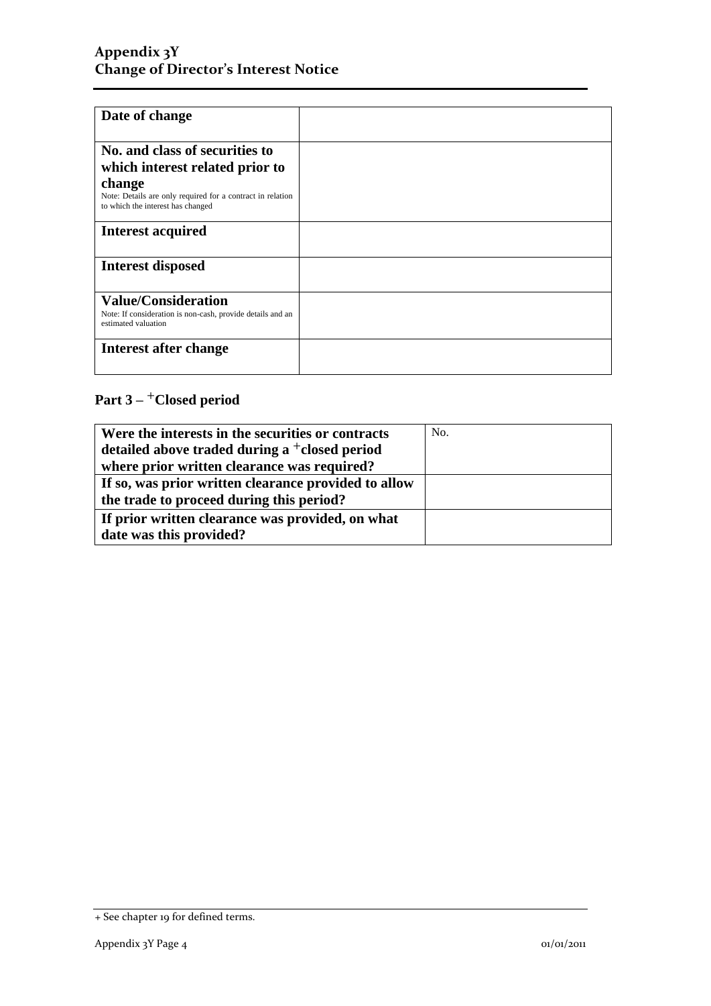### **Appendix 3Y Change of Director's Interest Notice**

| Date of change                                                                                                  |  |
|-----------------------------------------------------------------------------------------------------------------|--|
| No. and class of securities to<br>which interest related prior to                                               |  |
| change<br>Note: Details are only required for a contract in relation<br>to which the interest has changed       |  |
| <b>Interest acquired</b>                                                                                        |  |
| Interest disposed                                                                                               |  |
| <b>Value/Consideration</b><br>Note: If consideration is non-cash, provide details and an<br>estimated valuation |  |
| Interest after change                                                                                           |  |

### **Part 3 –** +**Closed period**

| Were the interests in the securities or contracts      | No. |
|--------------------------------------------------------|-----|
| detailed above traded during a $\dagger$ closed period |     |
| where prior written clearance was required?            |     |
| If so, was prior written clearance provided to allow   |     |
| the trade to proceed during this period?               |     |
| If prior written clearance was provided, on what       |     |
| date was this provided?                                |     |

<sup>+</sup> See chapter 19 for defined terms.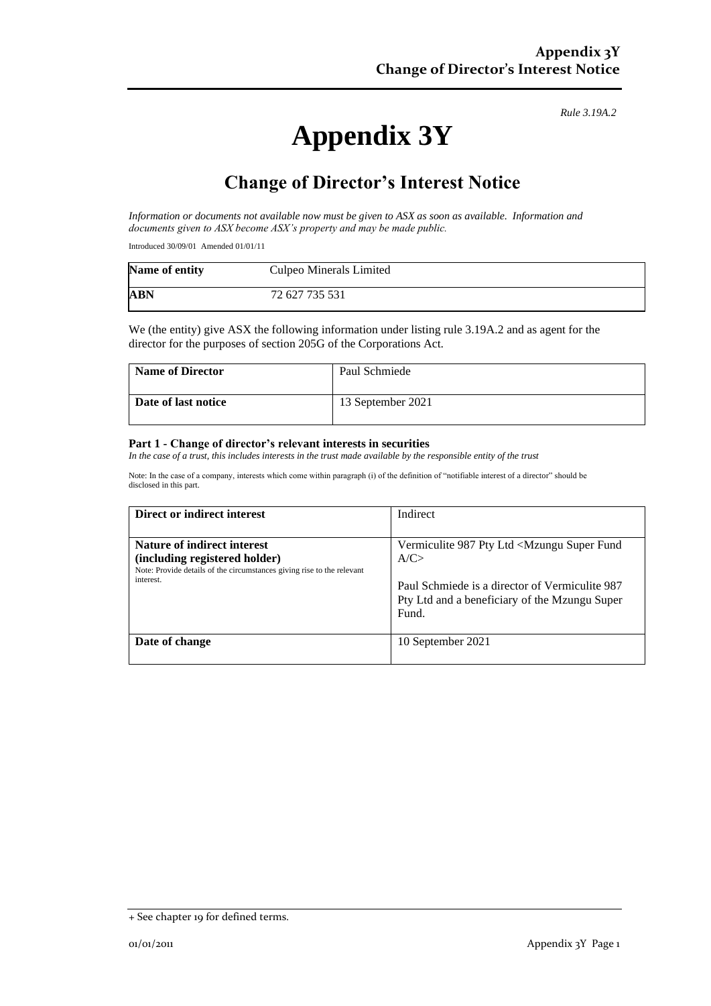*Rule 3.19A.2*

# **Appendix 3Y**

## **Change of Director's Interest Notice**

*Information or documents not available now must be given to ASX as soon as available. Information and documents given to ASX become ASX's property and may be made public.*

Introduced 30/09/01 Amended 01/01/11

| Name of entity | Culpeo Minerals Limited |
|----------------|-------------------------|
| <b>ABN</b>     | 72 627 735 531          |

We (the entity) give ASX the following information under listing rule 3.19A.2 and as agent for the director for the purposes of section 205G of the Corporations Act.

| Name of Director    | Paul Schmiede     |
|---------------------|-------------------|
| Date of last notice | 13 September 2021 |

#### **Part 1 - Change of director's relevant interests in securities**

*In the case of a trust, this includes interests in the trust made available by the responsible entity of the trust* 

Note: In the case of a company, interests which come within paragraph (i) of the definition of "notifiable interest of a director" should be disclosed in this part.

| Direct or indirect interest                                                                                                            | Indirect                                                                                                 |
|----------------------------------------------------------------------------------------------------------------------------------------|----------------------------------------------------------------------------------------------------------|
| Nature of indirect interest<br>(including registered holder)<br>Note: Provide details of the circumstances giving rise to the relevant | Vermiculite 987 Pty Ltd <mzungu fund<br="" super="">A/C &gt;</mzungu>                                    |
| interest.                                                                                                                              | Paul Schmiede is a director of Vermiculite 987<br>Pty Ltd and a beneficiary of the Mzungu Super<br>Fund. |
| Date of change                                                                                                                         | 10 September 2021                                                                                        |

<sup>+</sup> See chapter 19 for defined terms.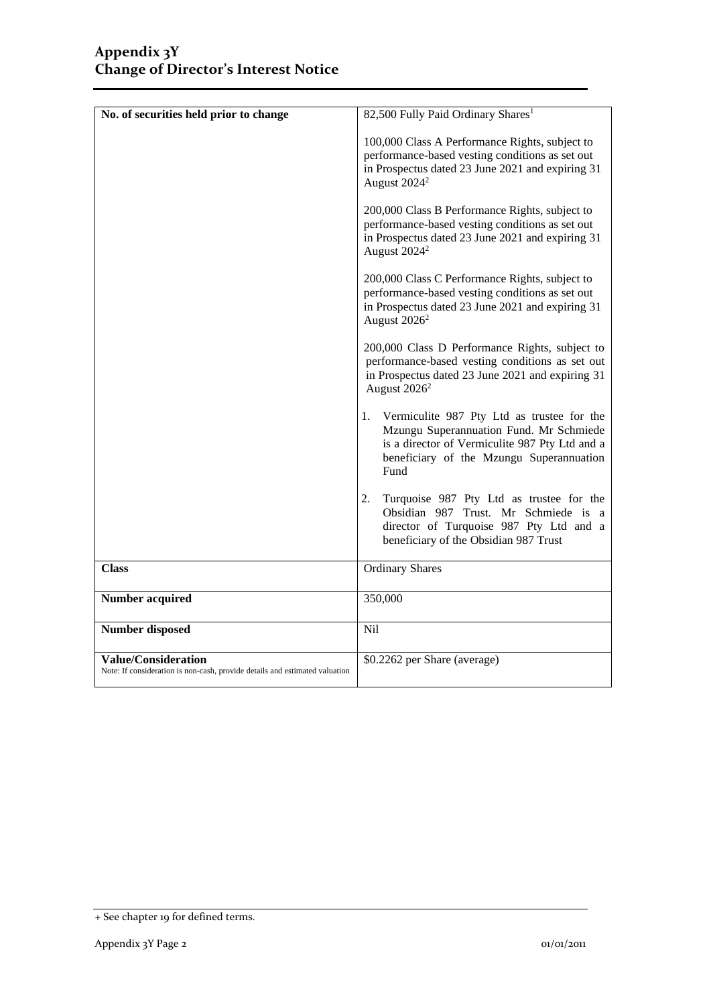| No. of securities held prior to change                                                                    | 82,500 Fully Paid Ordinary Shares <sup>1</sup>                                                                                                                                                    |
|-----------------------------------------------------------------------------------------------------------|---------------------------------------------------------------------------------------------------------------------------------------------------------------------------------------------------|
|                                                                                                           | 100,000 Class A Performance Rights, subject to<br>performance-based vesting conditions as set out<br>in Prospectus dated 23 June 2021 and expiring 31<br>August 2024 <sup>2</sup>                 |
|                                                                                                           | 200,000 Class B Performance Rights, subject to<br>performance-based vesting conditions as set out<br>in Prospectus dated 23 June 2021 and expiring 31<br>August 2024 <sup>2</sup>                 |
|                                                                                                           | 200,000 Class C Performance Rights, subject to<br>performance-based vesting conditions as set out<br>in Prospectus dated 23 June 2021 and expiring 31<br>August $2026^2$                          |
|                                                                                                           | 200,000 Class D Performance Rights, subject to<br>performance-based vesting conditions as set out<br>in Prospectus dated 23 June 2021 and expiring 31<br>August 2026 <sup>2</sup>                 |
|                                                                                                           | Vermiculite 987 Pty Ltd as trustee for the<br>1.<br>Mzungu Superannuation Fund. Mr Schmiede<br>is a director of Vermiculite 987 Pty Ltd and a<br>beneficiary of the Mzungu Superannuation<br>Fund |
|                                                                                                           | 2.<br>Turquoise 987 Pty Ltd as trustee for the<br>Obsidian 987 Trust. Mr Schmiede is a<br>director of Turquoise 987 Pty Ltd and a<br>beneficiary of the Obsidian 987 Trust                        |
| <b>Class</b>                                                                                              | <b>Ordinary Shares</b>                                                                                                                                                                            |
| <b>Number acquired</b>                                                                                    | 350,000                                                                                                                                                                                           |
| <b>Number disposed</b>                                                                                    | Nil                                                                                                                                                                                               |
| <b>Value/Consideration</b><br>Note: If consideration is non-cash, provide details and estimated valuation | \$0.2262 per Share (average)                                                                                                                                                                      |

<sup>+</sup> See chapter 19 for defined terms.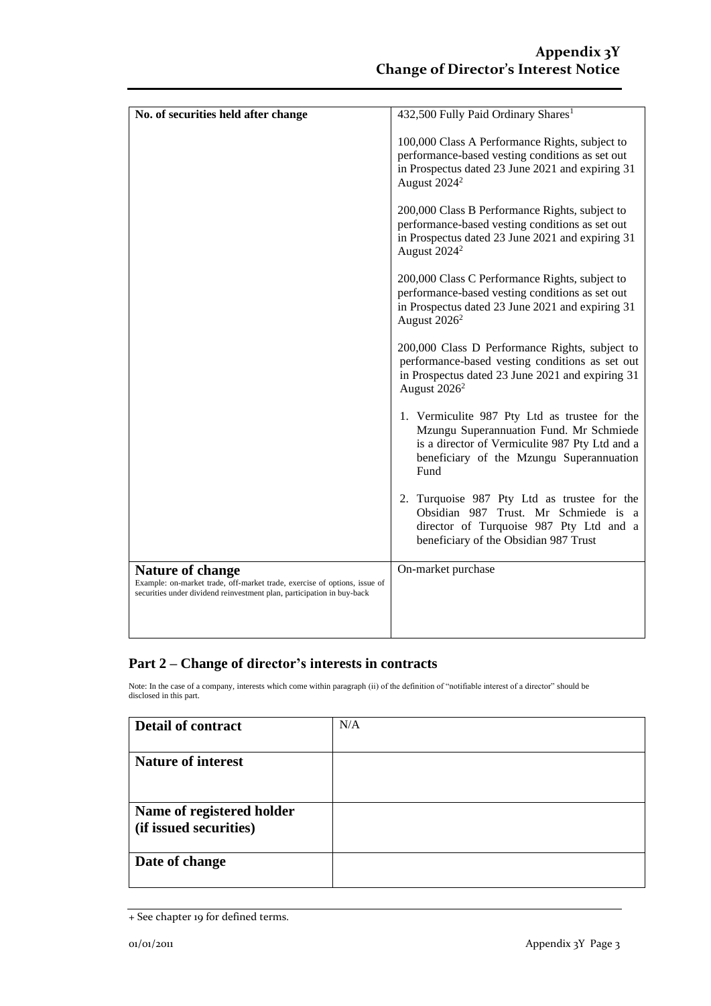| 432,500 Fully Paid Ordinary Shares <sup>1</sup>                                                                                                                                                |
|------------------------------------------------------------------------------------------------------------------------------------------------------------------------------------------------|
| 100,000 Class A Performance Rights, subject to<br>performance-based vesting conditions as set out<br>in Prospectus dated 23 June 2021 and expiring 31<br>August 2024 <sup>2</sup>              |
| 200,000 Class B Performance Rights, subject to<br>performance-based vesting conditions as set out<br>in Prospectus dated 23 June 2021 and expiring 31<br>August 2024 <sup>2</sup>              |
| 200,000 Class C Performance Rights, subject to<br>performance-based vesting conditions as set out<br>in Prospectus dated 23 June 2021 and expiring 31<br>August 2026 <sup>2</sup>              |
| 200,000 Class D Performance Rights, subject to<br>performance-based vesting conditions as set out<br>in Prospectus dated 23 June 2021 and expiring 31<br>August 2026 <sup>2</sup>              |
| 1. Vermiculite 987 Pty Ltd as trustee for the<br>Mzungu Superannuation Fund. Mr Schmiede<br>is a director of Vermiculite 987 Pty Ltd and a<br>beneficiary of the Mzungu Superannuation<br>Fund |
| 2. Turquoise 987 Pty Ltd as trustee for the<br>Obsidian 987 Trust. Mr Schmiede is a<br>director of Turquoise 987 Pty Ltd and a<br>beneficiary of the Obsidian 987 Trust                        |
| On-market purchase                                                                                                                                                                             |
|                                                                                                                                                                                                |
|                                                                                                                                                                                                |

### **Part 2 – Change of director's interests in contracts**

Note: In the case of a company, interests which come within paragraph (ii) of the definition of "notifiable interest of a director" should be disclosed in this part.

| Detail of contract                                  | N/A |
|-----------------------------------------------------|-----|
| <b>Nature of interest</b>                           |     |
| Name of registered holder<br>(if issued securities) |     |
| Date of change                                      |     |

<sup>+</sup> See chapter 19 for defined terms.